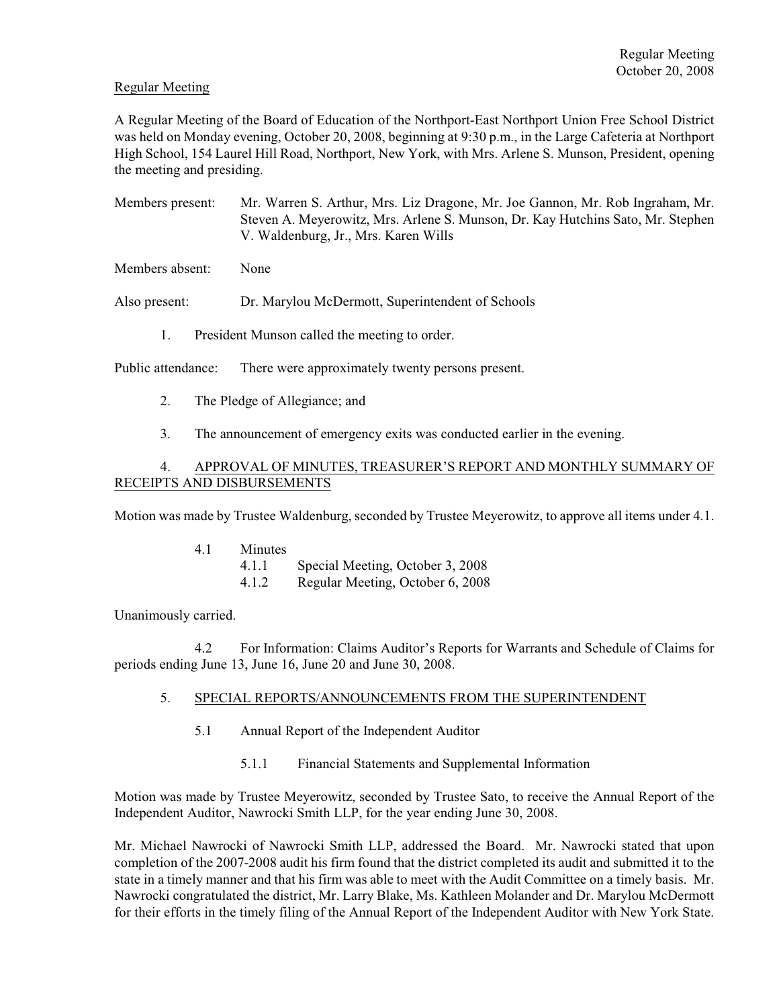## Regular Meeting

A Regular Meeting of the Board of Education of the Northport-East Northport Union Free School District was held on Monday evening, October 20, 2008, beginning at 9:30 p.m., in the Large Cafeteria at Northport High School, 154 Laurel Hill Road, Northport, New York, with Mrs. Arlene S. Munson, President, opening the meeting and presiding.

Members present: Mr. Warren S. Arthur, Mrs. Liz Dragone, Mr. Joe Gannon, Mr. Rob Ingraham, Mr. Steven A. Meyerowitz, Mrs. Arlene S. Munson, Dr. Kay Hutchins Sato, Mr. Stephen V. Waldenburg, Jr., Mrs. Karen Wills

Members absent: None

Also present: Dr. Marylou McDermott, Superintendent of Schools

1. President Munson called the meeting to order.

Public attendance: There were approximately twenty persons present.

- 2. The Pledge of Allegiance; and
- 3. The announcement of emergency exits was conducted earlier in the evening.

## 4. APPROVAL OF MINUTES, TREASURER'S REPORT AND MONTHLY SUMMARY OF RECEIPTS AND DISBURSEMENTS

Motion was made by Trustee Waldenburg, seconded by Trustee Meyerowitz, to approve all items under 4.1.

| 4.1 | Minutes |                                  |
|-----|---------|----------------------------------|
|     | 4.1.1   | Special Meeting, October 3, 2008 |
|     | 4.1.2   | Regular Meeting, October 6, 2008 |

Unanimously carried.

4.2 For Information: Claims Auditor's Reports for Warrants and Schedule of Claims for periods ending June 13, June 16, June 20 and June 30, 2008.

# 5. SPECIAL REPORTS/ANNOUNCEMENTS FROM THE SUPERINTENDENT

- 5.1 Annual Report of the Independent Auditor
	- 5.1.1 Financial Statements and Supplemental Information

Motion was made by Trustee Meyerowitz, seconded by Trustee Sato, to receive the Annual Report of the Independent Auditor, Nawrocki Smith LLP, for the year ending June 30, 2008.

Mr. Michael Nawrocki of Nawrocki Smith LLP, addressed the Board. Mr. Nawrocki stated that upon completion of the 2007-2008 audit his firm found that the district completed its audit and submitted it to the state in a timely manner and that his firm was able to meet with the Audit Committee on a timely basis. Mr. Nawrocki congratulated the district, Mr. Larry Blake, Ms. Kathleen Molander and Dr. Marylou McDermott for their efforts in the timely filing of the Annual Report of the Independent Auditor with New York State.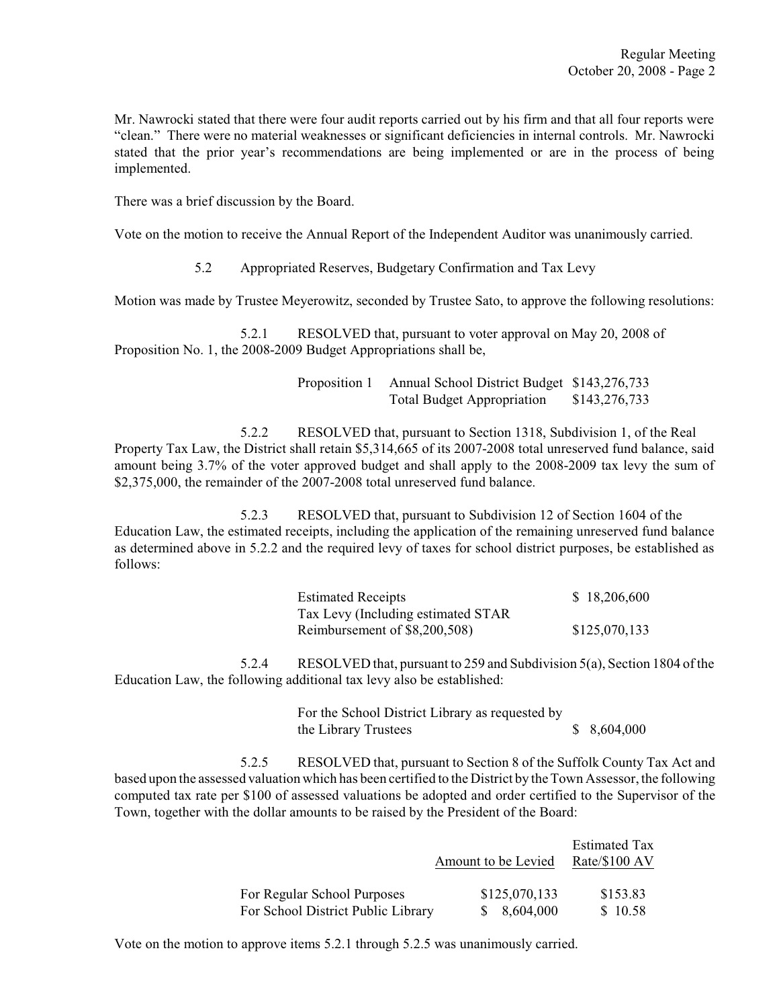Mr. Nawrocki stated that there were four audit reports carried out by his firm and that all four reports were "clean." There were no material weaknesses or significant deficiencies in internal controls. Mr. Nawrocki stated that the prior year's recommendations are being implemented or are in the process of being implemented.

There was a brief discussion by the Board.

Vote on the motion to receive the Annual Report of the Independent Auditor was unanimously carried.

5.2 Appropriated Reserves, Budgetary Confirmation and Tax Levy

Motion was made by Trustee Meyerowitz, seconded by Trustee Sato, to approve the following resolutions:

5.2.1 RESOLVED that, pursuant to voter approval on May 20, 2008 of Proposition No. 1, the 2008-2009 Budget Appropriations shall be,

> Proposition 1 Annual School District Budget \$143,276,733 Total Budget Appropriation \$143,276,733

5.2.2 RESOLVED that, pursuant to Section 1318, Subdivision 1, of the Real Property Tax Law, the District shall retain \$5,314,665 of its 2007-2008 total unreserved fund balance, said amount being 3.7% of the voter approved budget and shall apply to the 2008-2009 tax levy the sum of \$2,375,000, the remainder of the 2007-2008 total unreserved fund balance.

5.2.3 RESOLVED that, pursuant to Subdivision 12 of Section 1604 of the Education Law, the estimated receipts, including the application of the remaining unreserved fund balance as determined above in 5.2.2 and the required levy of taxes for school district purposes, be established as follows:

| <b>Estimated Receipts</b>           | \$18,206,600  |
|-------------------------------------|---------------|
| Tax Levy (Including estimated STAR) |               |
| Reimbursement of \$8,200,508)       | \$125,070,133 |

5.2.4 RESOLVED that, pursuant to 259 and Subdivision 5(a), Section 1804 of the Education Law, the following additional tax levy also be established:

> For the School District Library as requested by the Library Trustees  $$8,604,000$

5.2.5 RESOLVED that, pursuant to Section 8 of the Suffolk County Tax Act and based upon the assessed valuation which has been certified to the District by the Town Assessor, the following computed tax rate per \$100 of assessed valuations be adopted and order certified to the Supervisor of the Town, together with the dollar amounts to be raised by the President of the Board:

|                                    | Amount to be Levied | <b>Estimated Tax</b><br>Rate/\$100 AV |
|------------------------------------|---------------------|---------------------------------------|
| For Regular School Purposes        | \$125,070,133       | \$153.83                              |
| For School District Public Library | \$8,604,000         | \$10.58                               |

Vote on the motion to approve items 5.2.1 through 5.2.5 was unanimously carried.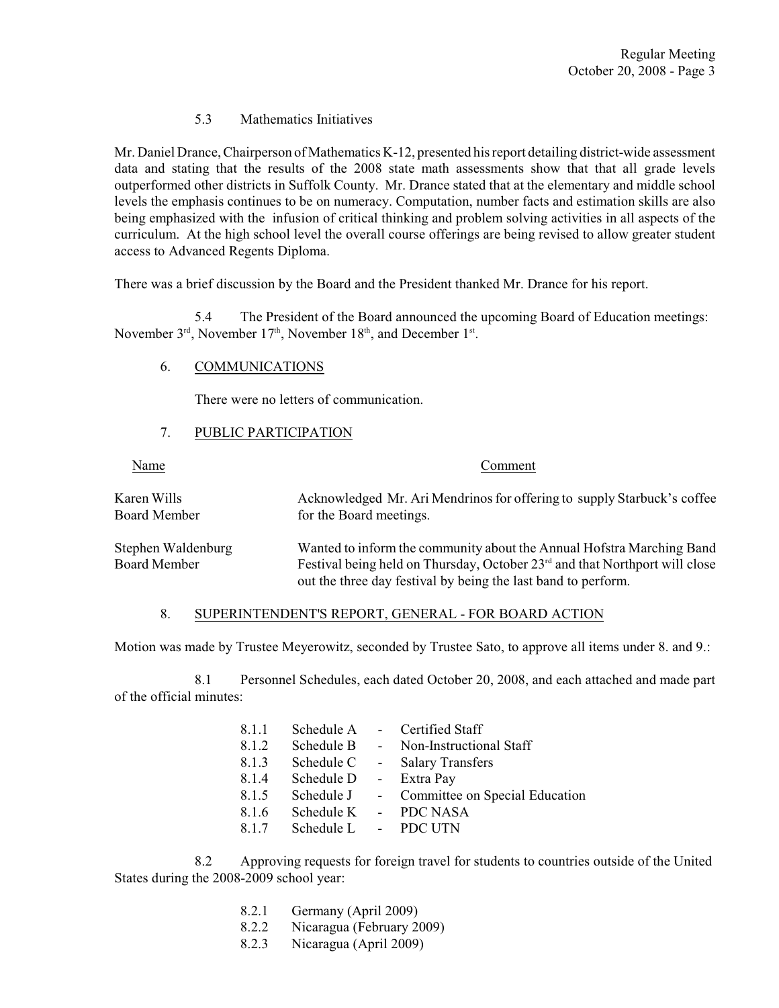# 5.3 Mathematics Initiatives

Mr. Daniel Drance, Chairperson of Mathematics K-12, presented his report detailing district-wide assessment data and stating that the results of the 2008 state math assessments show that that all grade levels outperformed other districts in Suffolk County. Mr. Drance stated that at the elementary and middle school levels the emphasis continues to be on numeracy. Computation, number facts and estimation skills are also being emphasized with the infusion of critical thinking and problem solving activities in all aspects of the curriculum. At the high school level the overall course offerings are being revised to allow greater student access to Advanced Regents Diploma.

There was a brief discussion by the Board and the President thanked Mr. Drance for his report.

5.4 The President of the Board announced the upcoming Board of Education meetings: November  $3<sup>rd</sup>$ , November  $17<sup>th</sup>$ , November  $18<sup>th</sup>$ , and December  $1<sup>st</sup>$ .

# 6. COMMUNICATIONS

There were no letters of communication.

# 7. PUBLIC PARTICIPATION

| Name                                      | Comment                                                                                                                                                                                                                           |
|-------------------------------------------|-----------------------------------------------------------------------------------------------------------------------------------------------------------------------------------------------------------------------------------|
| Karen Wills<br>Board Member               | Acknowledged Mr. Ari Mendrinos for offering to supply Starbuck's coffee<br>for the Board meetings.                                                                                                                                |
| Stephen Waldenburg<br><b>Board Member</b> | Wanted to inform the community about the Annual Hofstra Marching Band<br>Festival being held on Thursday, October 23 <sup>rd</sup> and that Northport will close<br>out the three day festival by being the last band to perform. |

### 8. SUPERINTENDENT'S REPORT, GENERAL - FOR BOARD ACTION

Motion was made by Trustee Meyerowitz, seconded by Trustee Sato, to approve all items under 8. and 9.:

8.1 Personnel Schedules, each dated October 20, 2008, and each attached and made part of the official minutes:

| 8.1.1 | Schedule A |                 | - Certified Staff                |
|-------|------------|-----------------|----------------------------------|
| 8.1.2 | Schedule B | $\sim 10^{-11}$ | Non-Instructional Staff          |
| 8.1.3 | Schedule C | $\sim 10^{-11}$ | <b>Salary Transfers</b>          |
| 8.1.4 | Schedule D |                 | - Extra Pay                      |
| 8.1.5 | Schedule J |                 | - Committee on Special Education |
| 8.1.6 | Schedule K |                 | - PDC NASA                       |
| 8.1.7 | Schedule L |                 | - PDC UTN                        |

8.2 Approving requests for foreign travel for students to countries outside of the United States during the 2008-2009 school year:

- 8.2.1 Germany (April 2009)
- 8.2.2 Nicaragua (February 2009)
- 8.2.3 Nicaragua (April 2009)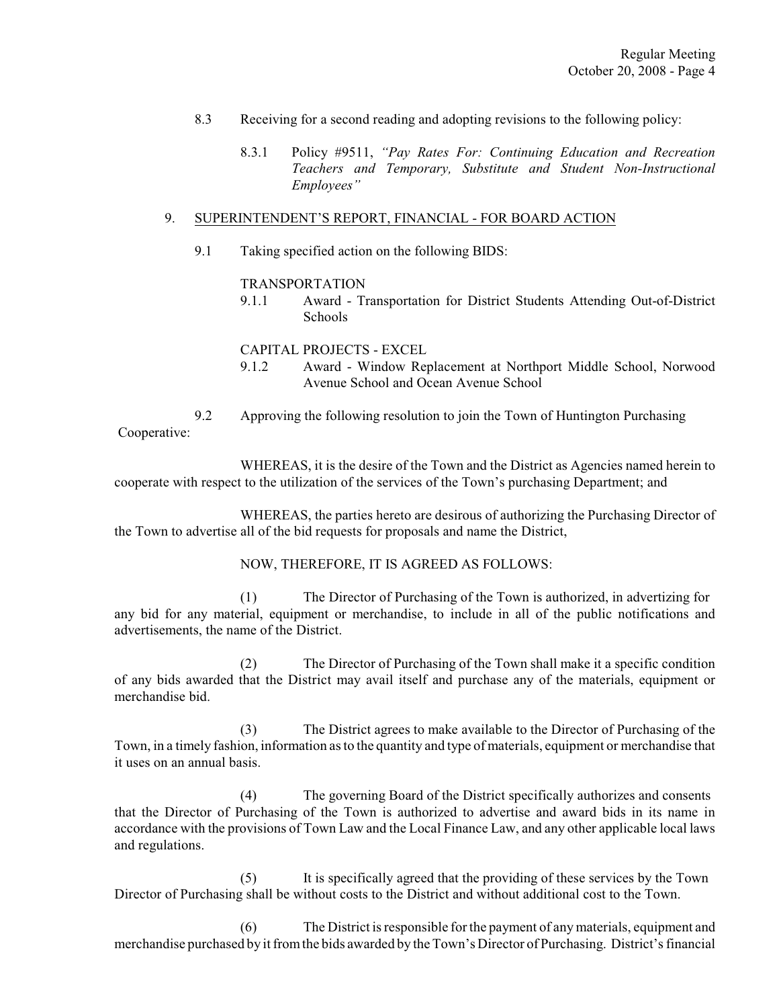- 8.3 Receiving for a second reading and adopting revisions to the following policy:
	- 8.3.1 Policy #9511, *"Pay Rates For: Continuing Education and Recreation Teachers and Temporary, Substitute and Student Non-Instructional Employees"*

### 9. SUPERINTENDENT'S REPORT, FINANCIAL - FOR BOARD ACTION

9.1 Taking specified action on the following BIDS:

### TRANSPORTATION

9.1.1 Award - Transportation for District Students Attending Out-of-District **Schools** 

### CAPITAL PROJECTS - EXCEL

9.1.2 Award - Window Replacement at Northport Middle School, Norwood Avenue School and Ocean Avenue School

9.2 Approving the following resolution to join the Town of Huntington Purchasing Cooperative:

WHEREAS, it is the desire of the Town and the District as Agencies named herein to cooperate with respect to the utilization of the services of the Town's purchasing Department; and

WHEREAS, the parties hereto are desirous of authorizing the Purchasing Director of the Town to advertise all of the bid requests for proposals and name the District,

#### NOW, THEREFORE, IT IS AGREED AS FOLLOWS:

(1) The Director of Purchasing of the Town is authorized, in advertizing for any bid for any material, equipment or merchandise, to include in all of the public notifications and advertisements, the name of the District.

(2) The Director of Purchasing of the Town shall make it a specific condition of any bids awarded that the District may avail itself and purchase any of the materials, equipment or merchandise bid.

(3) The District agrees to make available to the Director of Purchasing of the Town, in a timely fashion, information as to the quantity and type of materials, equipment or merchandise that it uses on an annual basis.

(4) The governing Board of the District specifically authorizes and consents that the Director of Purchasing of the Town is authorized to advertise and award bids in its name in accordance with the provisions of Town Law and the Local Finance Law, and any other applicable local laws and regulations.

(5) It is specifically agreed that the providing of these services by the Town Director of Purchasing shall be without costs to the District and without additional cost to the Town.

(6) The District is responsible for the payment of any materials, equipment and merchandise purchased by it fromthe bids awarded by the Town's Director of Purchasing. District's financial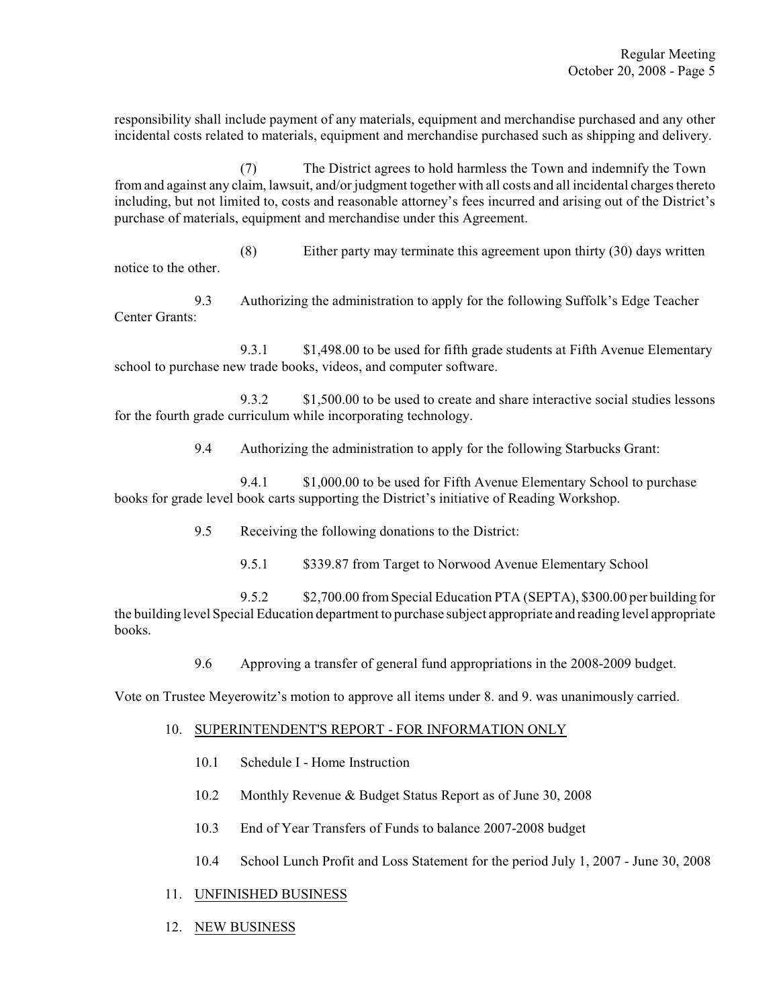responsibility shall include payment of any materials, equipment and merchandise purchased and any other incidental costs related to materials, equipment and merchandise purchased such as shipping and delivery.

(7) The District agrees to hold harmless the Town and indemnify the Town from and against any claim, lawsuit, and/or judgment together with all costs and all incidental charges thereto including, but not limited to, costs and reasonable attorney's fees incurred and arising out of the District's purchase of materials, equipment and merchandise under this Agreement.

(8) Either party may terminate this agreement upon thirty (30) days written notice to the other.

9.3 Authorizing the administration to apply for the following Suffolk's Edge Teacher Center Grants:

9.3.1 \$1,498.00 to be used for fifth grade students at Fifth Avenue Elementary school to purchase new trade books, videos, and computer software.

9.3.2 \$1,500.00 to be used to create and share interactive social studies lessons for the fourth grade curriculum while incorporating technology.

9.4 Authorizing the administration to apply for the following Starbucks Grant:

9.4.1 \$1,000.00 to be used for Fifth Avenue Elementary School to purchase books for grade level book carts supporting the District's initiative of Reading Workshop.

- 9.5 Receiving the following donations to the District:
	- 9.5.1 \$339.87 from Target to Norwood Avenue Elementary School

9.5.2 \$2,700.00 from Special Education PTA (SEPTA), \$300.00 per building for the building level Special Education department to purchase subject appropriate and reading level appropriate books.

9.6 Approving a transfer of general fund appropriations in the 2008-2009 budget.

Vote on Trustee Meyerowitz's motion to approve all items under 8. and 9. was unanimously carried.

### 10. SUPERINTENDENT'S REPORT - FOR INFORMATION ONLY

- 10.1 Schedule I Home Instruction
- 10.2 Monthly Revenue & Budget Status Report as of June 30, 2008
- 10.3 End of Year Transfers of Funds to balance 2007-2008 budget
- 10.4 School Lunch Profit and Loss Statement for the period July 1, 2007 June 30, 2008
- 11. UNFINISHED BUSINESS
- 12. NEW BUSINESS